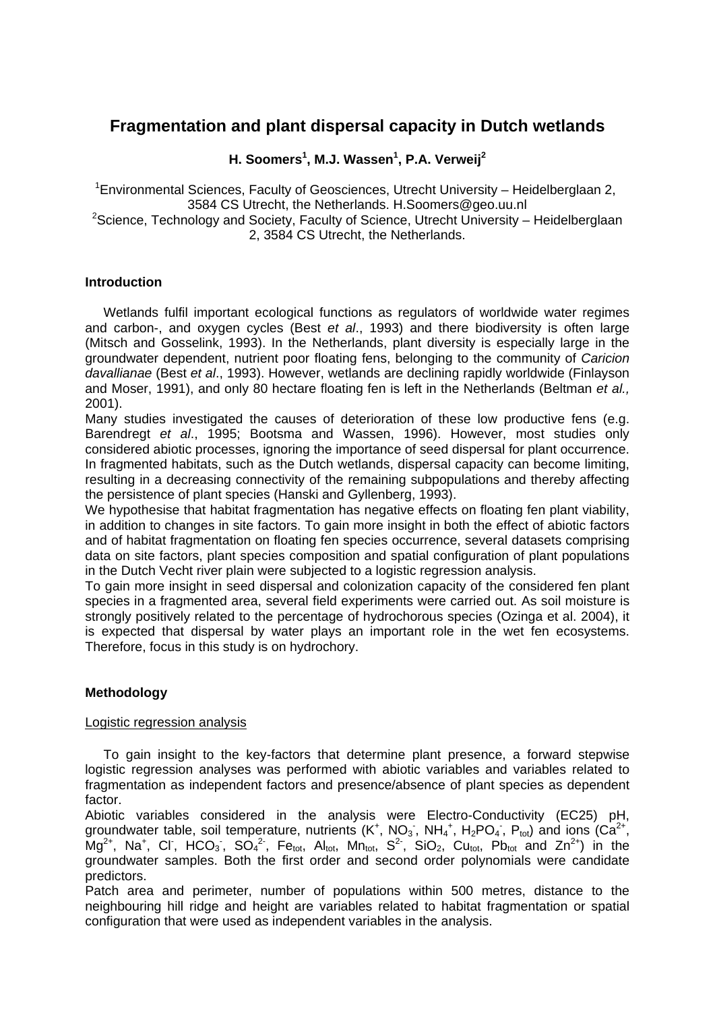# **Fragmentation and plant dispersal capacity in Dutch wetlands**

**H. Soomers<sup>1</sup> , M.J. Wassen<sup>1</sup> , P.A. Verweij<sup>2</sup>**

<sup>1</sup> Environmental Sciences, Faculty of Geosciences, Utrecht University – Heidelberglaan 2, 3584 CS Utrecht, the Netherlands. H.Soomers@geo.uu.nl

 $2$ Science, Technology and Society, Faculty of Science, Utrecht University – Heidelberglaan 2, 3584 CS Utrecht, the Netherlands.

## **Introduction**

 Wetlands fulfil important ecological functions as regulators of worldwide water regimes and carbon-, and oxygen cycles (Best *et al*., 1993) and there biodiversity is often large (Mitsch and Gosselink, 1993). In the Netherlands, plant diversity is especially large in the groundwater dependent, nutrient poor floating fens, belonging to the community of *Caricion davallianae* (Best *et al*., 1993). However, wetlands are declining rapidly worldwide (Finlayson and Moser, 1991), and only 80 hectare floating fen is left in the Netherlands (Beltman *et al.,* 2001).

Many studies investigated the causes of deterioration of these low productive fens (e.g. Barendregt *et al*., 1995; Bootsma and Wassen, 1996). However, most studies only considered abiotic processes, ignoring the importance of seed dispersal for plant occurrence. In fragmented habitats, such as the Dutch wetlands, dispersal capacity can become limiting, resulting in a decreasing connectivity of the remaining subpopulations and thereby affecting the persistence of plant species (Hanski and Gyllenberg, 1993).

We hypothesise that habitat fragmentation has negative effects on floating fen plant viability, in addition to changes in site factors. To gain more insight in both the effect of abiotic factors and of habitat fragmentation on floating fen species occurrence, several datasets comprising data on site factors, plant species composition and spatial configuration of plant populations in the Dutch Vecht river plain were subjected to a logistic regression analysis.

To gain more insight in seed dispersal and colonization capacity of the considered fen plant species in a fragmented area, several field experiments were carried out. As soil moisture is strongly positively related to the percentage of hydrochorous species (Ozinga et al. 2004), it is expected that dispersal by water plays an important role in the wet fen ecosystems. Therefore, focus in this study is on hydrochory.

# **Methodology**

# Logistic regression analysis

 To gain insight to the key-factors that determine plant presence, a forward stepwise logistic regression analyses was performed with abiotic variables and variables related to fragmentation as independent factors and presence/absence of plant species as dependent factor.

Abiotic variables considered in the analysis were Electro-Conductivity (EC25) pH, groundwater table, soil temperature, nutrients  $(K^+, NO_3, NH_4^+, H_2PO_4, P_{tot})$  and ions  $(Ca^{2+},$  $Mg^{2+}$ , Na<sup>+</sup>, Cl<sup>-</sup>, HCO<sub>3</sub>, SO<sub>4</sub><sup>2</sup><sup>-</sup>, Fe<sub>tot</sub>, Al<sub>tot</sub>, Mn<sub>tot</sub>, S<sup>2</sup><sup>-</sup>, SiO<sub>2</sub>, Cu<sub>tot</sub>, Pb<sub>tot</sub> and Zn<sup>2+</sup>) in the groundwater samples. Both the first order and second order polynomials were candidate predictors.

Patch area and perimeter, number of populations within 500 metres, distance to the neighbouring hill ridge and height are variables related to habitat fragmentation or spatial configuration that were used as independent variables in the analysis.